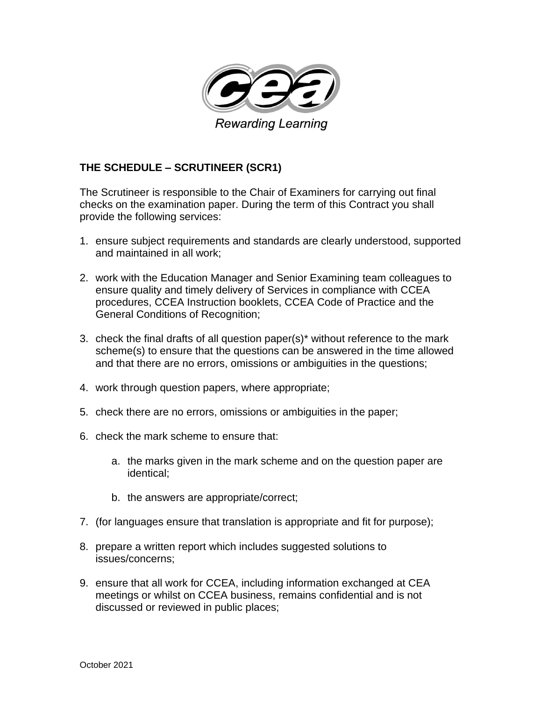

## **THE SCHEDULE – SCRUTINEER (SCR1)**

The Scrutineer is responsible to the Chair of Examiners for carrying out final checks on the examination paper. During the term of this Contract you shall provide the following services:

- 1. ensure subject requirements and standards are clearly understood, supported and maintained in all work;
- 2. work with the Education Manager and Senior Examining team colleagues to ensure quality and timely delivery of Services in compliance with CCEA procedures, CCEA Instruction booklets, CCEA Code of Practice and the General Conditions of Recognition;
- 3. check the final drafts of all question paper(s)\* without reference to the mark scheme(s) to ensure that the questions can be answered in the time allowed and that there are no errors, omissions or ambiguities in the questions;
- 4. work through question papers, where appropriate;
- 5. check there are no errors, omissions or ambiguities in the paper;
- 6. check the mark scheme to ensure that:
	- a. the marks given in the mark scheme and on the question paper are identical;
	- b. the answers are appropriate/correct;
- 7. (for languages ensure that translation is appropriate and fit for purpose);
- 8. prepare a written report which includes suggested solutions to issues/concerns;
- 9. ensure that all work for CCEA, including information exchanged at CEA meetings or whilst on CCEA business, remains confidential and is not discussed or reviewed in public places;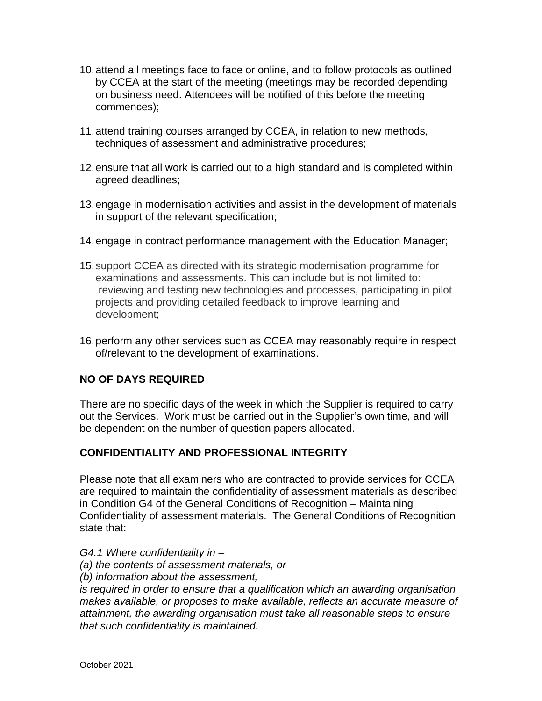- 10.attend all meetings face to face or online, and to follow protocols as outlined by CCEA at the start of the meeting (meetings may be recorded depending on business need. Attendees will be notified of this before the meeting commences);
- 11.attend training courses arranged by CCEA, in relation to new methods, techniques of assessment and administrative procedures;
- 12.ensure that all work is carried out to a high standard and is completed within agreed deadlines;
- 13.engage in modernisation activities and assist in the development of materials in support of the relevant specification;
- 14.engage in contract performance management with the Education Manager;
- 15.support CCEA as directed with its strategic modernisation programme for examinations and assessments. This can include but is not limited to: reviewing and testing new technologies and processes, participating in pilot projects and providing detailed feedback to improve learning and development;
- 16.perform any other services such as CCEA may reasonably require in respect of/relevant to the development of examinations.

## **NO OF DAYS REQUIRED**

There are no specific days of the week in which the Supplier is required to carry out the Services. Work must be carried out in the Supplier's own time, and will be dependent on the number of question papers allocated.

## **CONFIDENTIALITY AND PROFESSIONAL INTEGRITY**

Please note that all examiners who are contracted to provide services for CCEA are required to maintain the confidentiality of assessment materials as described in Condition G4 of the General Conditions of Recognition – Maintaining Confidentiality of assessment materials. The General Conditions of Recognition state that:

- *G4.1 Where confidentiality in –*
- *(a) the contents of assessment materials, or*
- *(b) information about the assessment,*

*is required in order to ensure that a qualification which an awarding organisation makes available, or proposes to make available, reflects an accurate measure of attainment, the awarding organisation must take all reasonable steps to ensure that such confidentiality is maintained.*